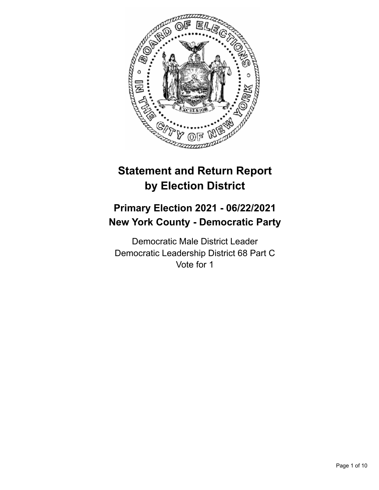

# **Statement and Return Report by Election District**

## **Primary Election 2021 - 06/22/2021 New York County - Democratic Party**

Democratic Male District Leader Democratic Leadership District 68 Part C Vote for 1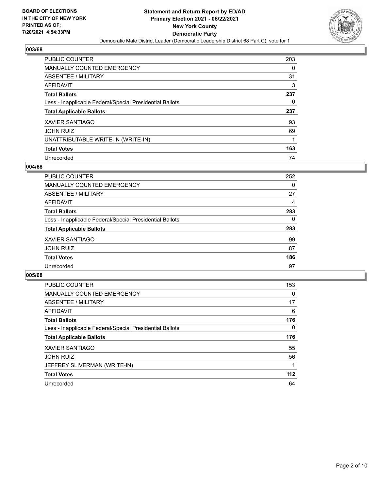

| <b>PUBLIC COUNTER</b>                                    | 203 |
|----------------------------------------------------------|-----|
| <b>MANUALLY COUNTED EMERGENCY</b>                        | 0   |
| ABSENTEE / MILITARY                                      | 31  |
| AFFIDAVIT                                                | 3   |
| <b>Total Ballots</b>                                     | 237 |
| Less - Inapplicable Federal/Special Presidential Ballots | 0   |
| <b>Total Applicable Ballots</b>                          | 237 |
| XAVIER SANTIAGO                                          | 93  |
|                                                          |     |
| <b>JOHN RUIZ</b>                                         | 69  |
| UNATTRIBUTABLE WRITE-IN (WRITE-IN)                       | 1   |
| <b>Total Votes</b>                                       | 163 |

#### **004/68**

| <b>PUBLIC COUNTER</b>                                    | 252 |
|----------------------------------------------------------|-----|
| <b>MANUALLY COUNTED EMERGENCY</b>                        | 0   |
| ABSENTEE / MILITARY                                      | 27  |
| AFFIDAVIT                                                | 4   |
| <b>Total Ballots</b>                                     | 283 |
| Less - Inapplicable Federal/Special Presidential Ballots | 0   |
| <b>Total Applicable Ballots</b>                          | 283 |
| <b>XAVIER SANTIAGO</b>                                   | 99  |
| <b>JOHN RUIZ</b>                                         | 87  |
| <b>Total Votes</b>                                       | 186 |
| Unrecorded                                               | 97  |

| <b>PUBLIC COUNTER</b>                                    | 153   |
|----------------------------------------------------------|-------|
| <b>MANUALLY COUNTED EMERGENCY</b>                        | 0     |
| ABSENTEE / MILITARY                                      | 17    |
| AFFIDAVIT                                                | 6     |
| <b>Total Ballots</b>                                     | 176   |
| Less - Inapplicable Federal/Special Presidential Ballots | 0     |
| <b>Total Applicable Ballots</b>                          | 176   |
| <b>XAVIER SANTIAGO</b>                                   | 55    |
| <b>JOHN RUIZ</b>                                         | 56    |
| JEFFREY SLIVERMAN (WRITE-IN)                             |       |
| <b>Total Votes</b>                                       | $112$ |
| Unrecorded                                               | 64    |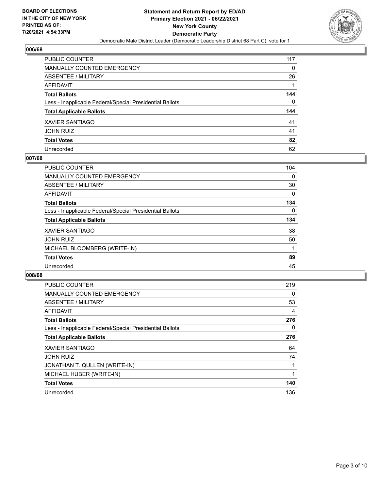

| PUBLIC COUNTER                                           | 117      |
|----------------------------------------------------------|----------|
| <b>MANUALLY COUNTED EMERGENCY</b>                        | 0        |
| <b>ABSENTEE / MILITARY</b>                               | 26       |
| <b>AFFIDAVIT</b>                                         |          |
| <b>Total Ballots</b>                                     | 144      |
| Less - Inapplicable Federal/Special Presidential Ballots | $\Omega$ |
| <b>Total Applicable Ballots</b>                          | 144      |
| <b>XAVIER SANTIAGO</b>                                   | 41       |
| <b>JOHN RUIZ</b>                                         | 41       |
| <b>Total Votes</b>                                       | 82       |
| Unrecorded                                               | 62       |

#### **007/68**

| <b>PUBLIC COUNTER</b>                                    | 104      |
|----------------------------------------------------------|----------|
| <b>MANUALLY COUNTED EMERGENCY</b>                        | $\Omega$ |
| ABSENTEE / MILITARY                                      | 30       |
| <b>AFFIDAVIT</b>                                         | $\Omega$ |
| <b>Total Ballots</b>                                     | 134      |
| Less - Inapplicable Federal/Special Presidential Ballots | $\Omega$ |
| <b>Total Applicable Ballots</b>                          | 134      |
| <b>XAVIER SANTIAGO</b>                                   | 38       |
| <b>JOHN RUIZ</b>                                         | 50       |
| MICHAEL BLOOMBERG (WRITE-IN)                             |          |
| <b>Total Votes</b>                                       | 89       |
| Unrecorded                                               | 45       |

| <b>PUBLIC COUNTER</b>                                    | 219 |
|----------------------------------------------------------|-----|
| <b>MANUALLY COUNTED EMERGENCY</b>                        | 0   |
| ABSENTEE / MILITARY                                      | 53  |
| AFFIDAVIT                                                | 4   |
| <b>Total Ballots</b>                                     | 276 |
| Less - Inapplicable Federal/Special Presidential Ballots | 0   |
| <b>Total Applicable Ballots</b>                          | 276 |
| <b>XAVIER SANTIAGO</b>                                   | 64  |
| <b>JOHN RUIZ</b>                                         | 74  |
| JONATHAN T. QULLEN (WRITE-IN)                            |     |
| MICHAEL HUBER (WRITE-IN)                                 |     |
| <b>Total Votes</b>                                       | 140 |
| Unrecorded                                               | 136 |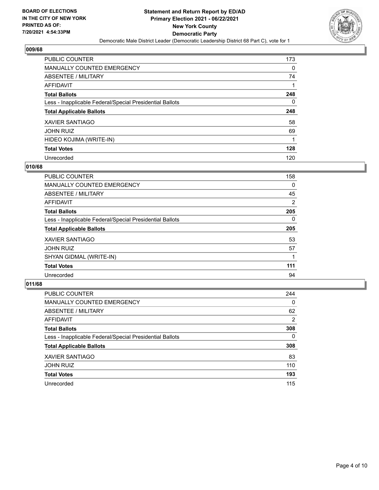

| <b>PUBLIC COUNTER</b>                                    | 173 |
|----------------------------------------------------------|-----|
| <b>MANUALLY COUNTED EMERGENCY</b>                        | 0   |
| ABSENTEE / MILITARY                                      | 74  |
| AFFIDAVIT                                                |     |
| <b>Total Ballots</b>                                     | 248 |
| Less - Inapplicable Federal/Special Presidential Ballots | 0   |
| <b>Total Applicable Ballots</b>                          | 248 |
| <b>XAVIER SANTIAGO</b>                                   | 58  |
| <b>JOHN RUIZ</b>                                         | 69  |
| HIDEO KOJIMA (WRITE-IN)                                  |     |
| <b>Total Votes</b>                                       | 128 |
| Unrecorded                                               | 120 |

#### **010/68**

| <b>PUBLIC COUNTER</b>                                    | 158            |
|----------------------------------------------------------|----------------|
| <b>MANUALLY COUNTED EMERGENCY</b>                        | 0              |
| ABSENTEE / MILITARY                                      | 45             |
| <b>AFFIDAVIT</b>                                         | $\overline{2}$ |
| <b>Total Ballots</b>                                     | 205            |
| Less - Inapplicable Federal/Special Presidential Ballots | $\Omega$       |
| <b>Total Applicable Ballots</b>                          | 205            |
| <b>XAVIER SANTIAGO</b>                                   | 53             |
| <b>JOHN RUIZ</b>                                         | 57             |
| SHYAN GIDMAL (WRITE-IN)                                  |                |
| <b>Total Votes</b>                                       | 111            |
| Unrecorded                                               | 94             |

| <b>PUBLIC COUNTER</b>                                    | 244      |
|----------------------------------------------------------|----------|
| <b>MANUALLY COUNTED EMERGENCY</b>                        | $\Omega$ |
| ABSENTEE / MILITARY                                      | 62       |
| AFFIDAVIT                                                | 2        |
| <b>Total Ballots</b>                                     | 308      |
| Less - Inapplicable Federal/Special Presidential Ballots | $\Omega$ |
| <b>Total Applicable Ballots</b>                          | 308      |
| <b>XAVIER SANTIAGO</b>                                   | 83       |
| <b>JOHN RUIZ</b>                                         | 110      |
| <b>Total Votes</b>                                       | 193      |
| Unrecorded                                               | 115      |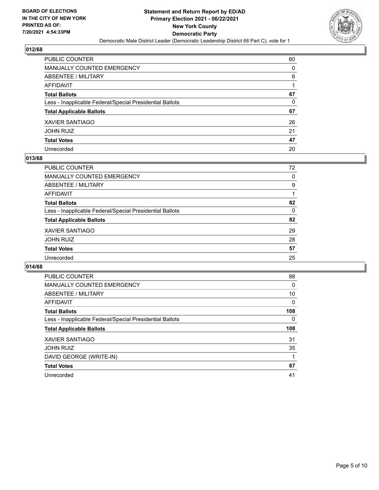

| PUBLIC COUNTER                                           | 60 |
|----------------------------------------------------------|----|
| MANUALLY COUNTED EMERGENCY                               | 0  |
| ABSENTEE / MILITARY                                      | 6  |
| AFFIDAVIT                                                |    |
| Total Ballots                                            | 67 |
| Less - Inapplicable Federal/Special Presidential Ballots | 0  |
| <b>Total Applicable Ballots</b>                          | 67 |
| XAVIER SANTIAGO                                          | 26 |
| JOHN RUIZ                                                | 21 |
| <b>Total Votes</b>                                       | 47 |
| Unrecorded                                               | 20 |

#### **013/68**

| PUBLIC COUNTER                                           | 72       |
|----------------------------------------------------------|----------|
| <b>MANUALLY COUNTED EMERGENCY</b>                        | $\Omega$ |
| ABSENTEE / MILITARY                                      | 9        |
| AFFIDAVIT                                                |          |
| <b>Total Ballots</b>                                     | 82       |
| Less - Inapplicable Federal/Special Presidential Ballots | $\Omega$ |
| <b>Total Applicable Ballots</b>                          | 82       |
| <b>XAVIER SANTIAGO</b>                                   | 29       |
| <b>JOHN RUIZ</b>                                         | 28       |
| <b>Total Votes</b>                                       | 57       |
| Unrecorded                                               | 25       |
|                                                          |          |

| <b>PUBLIC COUNTER</b>                                    | 98  |
|----------------------------------------------------------|-----|
| <b>MANUALLY COUNTED EMERGENCY</b>                        | 0   |
| ABSENTEE / MILITARY                                      | 10  |
| <b>AFFIDAVIT</b>                                         | 0   |
| <b>Total Ballots</b>                                     | 108 |
| Less - Inapplicable Federal/Special Presidential Ballots | 0   |
| <b>Total Applicable Ballots</b>                          | 108 |
| <b>XAVIER SANTIAGO</b>                                   | 31  |
| <b>JOHN RUIZ</b>                                         | 35  |
| DAVID GEORGE (WRITE-IN)                                  |     |
| <b>Total Votes</b>                                       | 67  |
| Unrecorded                                               | 41  |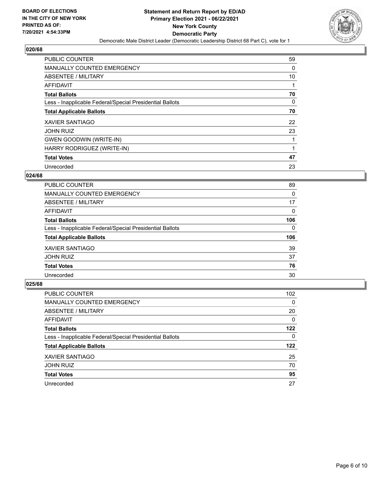

| <b>PUBLIC COUNTER</b>                                    | 59       |
|----------------------------------------------------------|----------|
| <b>MANUALLY COUNTED EMERGENCY</b>                        | $\Omega$ |
| ABSENTEE / MILITARY                                      | 10       |
| AFFIDAVIT                                                |          |
| <b>Total Ballots</b>                                     | 70       |
| Less - Inapplicable Federal/Special Presidential Ballots | $\Omega$ |
| <b>Total Applicable Ballots</b>                          | 70       |
| <b>XAVIER SANTIAGO</b>                                   | 22       |
| <b>JOHN RUIZ</b>                                         | 23       |
| <b>GWEN GOODWIN (WRITE-IN)</b>                           |          |
| HARRY RODRIGUEZ (WRITE-IN)                               |          |
| <b>Total Votes</b>                                       | 47       |
| Unrecorded                                               | 23       |

#### **024/68**

| PUBLIC COUNTER                                           | 89       |
|----------------------------------------------------------|----------|
| <b>MANUALLY COUNTED EMERGENCY</b>                        | $\Omega$ |
| ABSENTEE / MILITARY                                      | 17       |
| AFFIDAVIT                                                | $\Omega$ |
| <b>Total Ballots</b>                                     | 106      |
| Less - Inapplicable Federal/Special Presidential Ballots | $\Omega$ |
| <b>Total Applicable Ballots</b>                          | 106      |
| <b>XAVIER SANTIAGO</b>                                   | 39       |
| <b>JOHN RUIZ</b>                                         | 37       |
| <b>Total Votes</b>                                       | 76       |
| Unrecorded                                               | 30       |

| <b>PUBLIC COUNTER</b>                                    | 102 <sub>2</sub> |
|----------------------------------------------------------|------------------|
| MANUALLY COUNTED EMERGENCY                               | $\Omega$         |
| ABSENTEE / MILITARY                                      | 20               |
| AFFIDAVIT                                                | $\Omega$         |
| <b>Total Ballots</b>                                     | 122              |
| Less - Inapplicable Federal/Special Presidential Ballots | 0                |
| <b>Total Applicable Ballots</b>                          | 122              |
| <b>XAVIER SANTIAGO</b>                                   | 25               |
| <b>JOHN RUIZ</b>                                         | 70               |
| <b>Total Votes</b>                                       | 95               |
| Unrecorded                                               | 27               |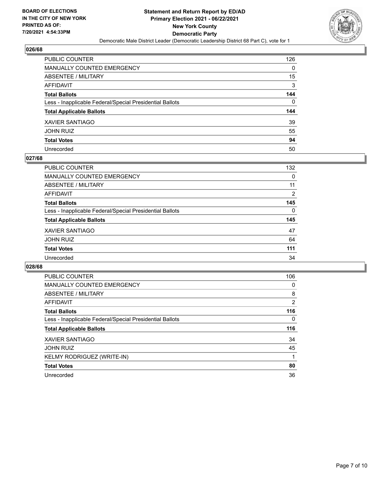

| <b>PUBLIC COUNTER</b>                                    | 126 |
|----------------------------------------------------------|-----|
| MANUALLY COUNTED EMERGENCY                               | 0   |
| <b>ABSENTEE / MILITARY</b>                               | 15  |
| <b>AFFIDAVIT</b>                                         | 3   |
| <b>Total Ballots</b>                                     | 144 |
| Less - Inapplicable Federal/Special Presidential Ballots | 0   |
| <b>Total Applicable Ballots</b>                          | 144 |
| <b>XAVIER SANTIAGO</b>                                   | 39  |
| <b>JOHN RUIZ</b>                                         | 55  |
| <b>Total Votes</b>                                       | 94  |
| Unrecorded                                               | 50  |

#### **027/68**

| PUBLIC COUNTER                                           | 132      |
|----------------------------------------------------------|----------|
| <b>MANUALLY COUNTED EMERGENCY</b>                        | 0        |
| ABSENTEE / MILITARY                                      | 11       |
| AFFIDAVIT                                                | 2        |
| <b>Total Ballots</b>                                     | 145      |
| Less - Inapplicable Federal/Special Presidential Ballots | $\Omega$ |
| <b>Total Applicable Ballots</b>                          | 145      |
| <b>XAVIER SANTIAGO</b>                                   | 47       |
| <b>JOHN RUIZ</b>                                         | 64       |
| <b>Total Votes</b>                                       | 111      |
| Unrecorded                                               | 34       |

| <b>PUBLIC COUNTER</b>                                    | 106            |
|----------------------------------------------------------|----------------|
| <b>MANUALLY COUNTED EMERGENCY</b>                        | 0              |
| ABSENTEE / MILITARY                                      | 8              |
| AFFIDAVIT                                                | $\overline{2}$ |
| <b>Total Ballots</b>                                     | 116            |
| Less - Inapplicable Federal/Special Presidential Ballots | $\Omega$       |
| <b>Total Applicable Ballots</b>                          | 116            |
| <b>XAVIER SANTIAGO</b>                                   | 34             |
| <b>JOHN RUIZ</b>                                         | 45             |
| KELMY RODRIGUEZ (WRITE-IN)                               |                |
| <b>Total Votes</b>                                       | 80             |
| Unrecorded                                               | 36             |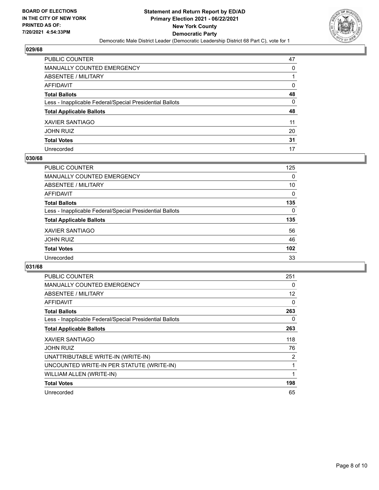

| PUBLIC COUNTER                                           | 47 |
|----------------------------------------------------------|----|
| MANUALLY COUNTED EMERGENCY                               | 0  |
| ABSENTEE / MILITARY                                      |    |
| AFFIDAVIT                                                | 0  |
| Total Ballots                                            | 48 |
| Less - Inapplicable Federal/Special Presidential Ballots | 0  |
| <b>Total Applicable Ballots</b>                          | 48 |
| XAVIER SANTIAGO                                          | 11 |
| JOHN RUIZ                                                | 20 |
| <b>Total Votes</b>                                       | 31 |
| Unrecorded                                               | 17 |

#### **030/68**

| <b>PUBLIC COUNTER</b>                                    | 125      |
|----------------------------------------------------------|----------|
| MANUALLY COUNTED EMERGENCY                               | 0        |
| ABSENTEE / MILITARY                                      | 10       |
| AFFIDAVIT                                                | $\Omega$ |
| <b>Total Ballots</b>                                     | 135      |
| Less - Inapplicable Federal/Special Presidential Ballots | 0        |
| <b>Total Applicable Ballots</b>                          | 135      |
| <b>XAVIER SANTIAGO</b>                                   | 56       |
| <b>JOHN RUIZ</b>                                         | 46       |
| <b>Total Votes</b>                                       | 102      |
| Unrecorded                                               | 33       |

| <b>PUBLIC COUNTER</b>                                    | 251            |
|----------------------------------------------------------|----------------|
| <b>MANUALLY COUNTED EMERGENCY</b>                        | 0              |
| ABSENTEE / MILITARY                                      | 12             |
| <b>AFFIDAVIT</b>                                         | 0              |
| <b>Total Ballots</b>                                     | 263            |
| Less - Inapplicable Federal/Special Presidential Ballots | 0              |
| <b>Total Applicable Ballots</b>                          | 263            |
| XAVIER SANTIAGO                                          | 118            |
| <b>JOHN RUIZ</b>                                         | 76             |
| UNATTRIBUTABLE WRITE-IN (WRITE-IN)                       | $\overline{2}$ |
| UNCOUNTED WRITE-IN PER STATUTE (WRITE-IN)                |                |
| WILLIAM ALLEN (WRITE-IN)                                 |                |
| <b>Total Votes</b>                                       | 198            |
| Unrecorded                                               | 65             |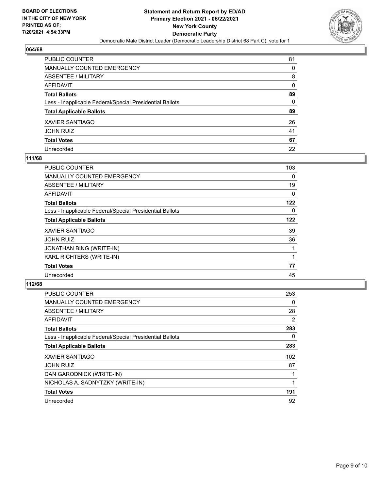

| PUBLIC COUNTER                                           | 81 |
|----------------------------------------------------------|----|
| MANUALLY COUNTED EMERGENCY                               | 0  |
| ABSENTEE / MILITARY                                      | 8  |
| AFFIDAVIT                                                | 0  |
| Total Ballots                                            | 89 |
| Less - Inapplicable Federal/Special Presidential Ballots | 0  |
| <b>Total Applicable Ballots</b>                          | 89 |
| XAVIER SANTIAGO                                          | 26 |
| JOHN RUIZ                                                | 41 |
| <b>Total Votes</b>                                       | 67 |
| Unrecorded                                               | 22 |

#### **111/68**

| PUBLIC COUNTER                                           | 103 |
|----------------------------------------------------------|-----|
| <b>MANUALLY COUNTED EMERGENCY</b>                        | 0   |
| ABSENTEE / MILITARY                                      | 19  |
| AFFIDAVIT                                                | 0   |
| <b>Total Ballots</b>                                     | 122 |
| Less - Inapplicable Federal/Special Presidential Ballots | 0   |
| <b>Total Applicable Ballots</b>                          | 122 |
| <b>XAVIER SANTIAGO</b>                                   | 39  |
| <b>JOHN RUIZ</b>                                         | 36  |
| JONATHAN BING (WRITE-IN)                                 |     |
| KARL RICHTERS (WRITE-IN)                                 |     |
| <b>Total Votes</b>                                       | 77  |
| Unrecorded                                               | 45  |

| <b>PUBLIC COUNTER</b>                                    | 253 |
|----------------------------------------------------------|-----|
| <b>MANUALLY COUNTED EMERGENCY</b>                        | 0   |
| ABSENTEE / MILITARY                                      | 28  |
| AFFIDAVIT                                                | 2   |
| <b>Total Ballots</b>                                     | 283 |
| Less - Inapplicable Federal/Special Presidential Ballots | 0   |
| <b>Total Applicable Ballots</b>                          | 283 |
| <b>XAVIER SANTIAGO</b>                                   | 102 |
| <b>JOHN RUIZ</b>                                         | 87  |
| DAN GARODNICK (WRITE-IN)                                 |     |
| NICHOLAS A. SADNYTZKY (WRITE-IN)                         |     |
| <b>Total Votes</b>                                       | 191 |
| Unrecorded                                               | 92  |